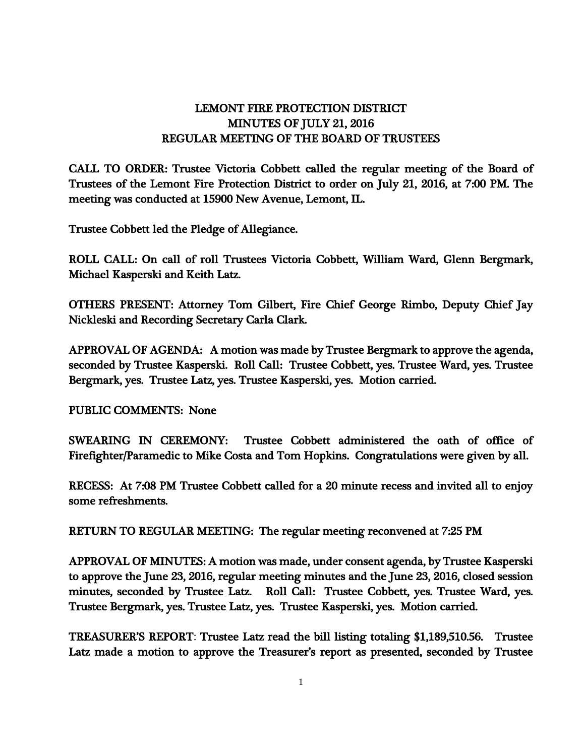## LEMONT FIRE PROTECTION DISTRICT MINUTES OF JULY 21, 2016 REGULAR MEETING OF THE BOARD OF TRUSTEES

CALL TO ORDER: Trustee Victoria Cobbett called the regular meeting of the Board of Trustees of the Lemont Fire Protection District to order on July 21, 2016, at 7:00 PM. The meeting was conducted at 15900 New Avenue, Lemont, IL.

Trustee Cobbett led the Pledge of Allegiance.

ROLL CALL: On call of roll Trustees Victoria Cobbett, William Ward, Glenn Bergmark, Michael Kasperski and Keith Latz.

OTHERS PRESENT: Attorney Tom Gilbert, Fire Chief George Rimbo, Deputy Chief Jay Nickleski and Recording Secretary Carla Clark.

APPROVAL OF AGENDA: A motion was made by Trustee Bergmark to approve the agenda, seconded by Trustee Kasperski. Roll Call: Trustee Cobbett, yes. Trustee Ward, yes. Trustee Bergmark, yes. Trustee Latz, yes. Trustee Kasperski, yes. Motion carried.

PUBLIC COMMENTS: None

SWEARING IN CEREMONY: Trustee Cobbett administered the oath of office of Firefighter/Paramedic to Mike Costa and Tom Hopkins. Congratulations were given by all.

RECESS: At 7:08 PM Trustee Cobbett called for a 20 minute recess and invited all to enjoy some refreshments.

RETURN TO REGULAR MEETING: The regular meeting reconvened at 7:25 PM

APPROVAL OF MINUTES: A motion was made, under consent agenda, by Trustee Kasperski to approve the June 23, 2016, regular meeting minutes and the June 23, 2016, closed session minutes, seconded by Trustee Latz. Roll Call: Trustee Cobbett, yes. Trustee Ward, yes. Trustee Bergmark, yes. Trustee Latz, yes. Trustee Kasperski, yes. Motion carried.

TREASURER'S REPORT: Trustee Latz read the bill listing totaling \$1,189,510.56. Trustee Latz made a motion to approve the Treasurer's report as presented, seconded by Trustee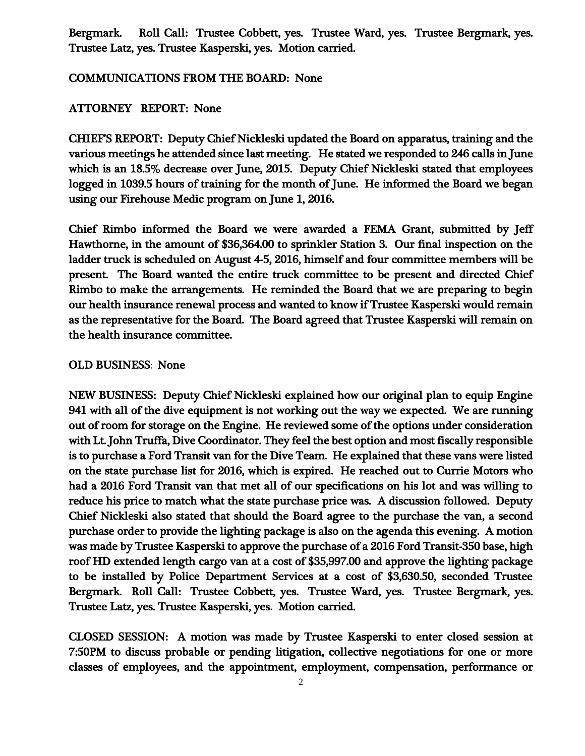Bergmark. Roll Call: Trustee Cobbett, yes. Trustee Ward, yes. Trustee Bergmark, yes. Trustee Latz, yes. Trustee Kasperski, yes. Motion carried.

## COMMUNICATIONS FROM THE BOARD: None

## ATTORNEY REPORT: None

CHIEF'S REPORT: Deputy Chief Nickleski updated the Board on apparatus, training and the various meetings he attended since last meeting. He stated we responded to 246 calls in June which is an 18.5% decrease over June, 2015. Deputy Chief Nickleski stated that employees logged in 1039.5 hours of training for the month of June. He informed the Board we began using our Firehouse Medic program on June 1, 2016.

Chief Rimbo informed the Board we were awarded a FEMA Grant, submitted by Jeff Hawthorne, in the amount of \$36,364.00 to sprinkler Station 3. Our final inspection on the ladder truck is scheduled on August 4-5, 2016, himself and four committee members will be present. The Board wanted the entire truck committee to be present and directed Chief Rimbo to make the arrangements. He reminded the Board that we are preparing to begin our health insurance renewal process and wanted to know if Trustee Kasperski would remain as the representative for the Board. The Board agreed that Trustee Kasperski will remain on the health insurance committee.

## OLD BUSINESS: None

NEW BUSINESS: Deputy Chief Nickleski explained how our original plan to equip Engine 941 with all of the dive equipment is not working out the way we expected. We are running out of room for storage on the Engine. He reviewed some of the options under consideration with Lt. John Truffa, Dive Coordinator. They feel the best option and most fiscally responsible is to purchase a Ford Transit van for the Dive Team. He explained that these vans were listed on the state purchase list for 2016, which is expired. He reached out to Currie Motors who had a 2016 Ford Transit van that met all of our specifications on his lot and was willing to reduce his price to match what the state purchase price was. A discussion followed. Deputy Chief Nickleski also stated that should the Board agree to the purchase the van, a second purchase order to provide the lighting package is also on the agenda this evening. A motion was made by Trustee Kasperski to approve the purchase of a 2016 Ford Transit-350 base, high roof HD extended length cargo van at a cost of \$35,997.00 and approve the lighting package to be installed by Police Department Services at a cost of \$3,630.50, seconded Trustee Bergmark. Roll Call: Trustee Cobbett, yes. Trustee Ward, yes. Trustee Bergmark, yes. Trustee Latz, yes. Trustee Kasperski, yes. Motion carried.

CLOSED SESSION: A motion was made by Trustee Kasperski to enter closed session at 7:50PM to discuss probable or pending litigation, collective negotiations for one or more classes of employees, and the appointment, employment, compensation, performance or